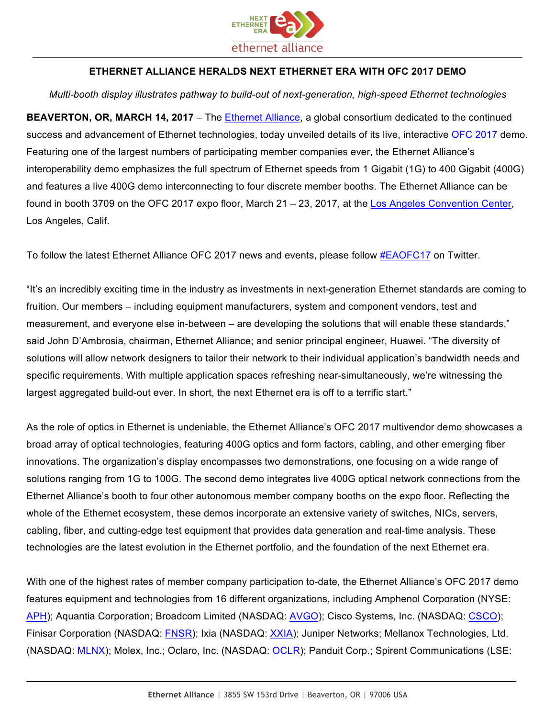

## **ETHERNET ALLIANCE HERALDS NEXT ETHERNET ERA WITH OFC 2017 DEMO**

## *Multi-booth display illustrates pathway to build-out of next-generation, high-speed Ethernet technologies*

**BEAVERTON, OR, MARCH 14, 2017** – The Ethernet Alliance, a global consortium dedicated to the continued success and advancement of Ethernet technologies, today unveiled details of its live, interactive OFC 2017 demo. Featuring one of the largest numbers of participating member companies ever, the Ethernet Alliance's interoperability demo emphasizes the full spectrum of Ethernet speeds from 1 Gigabit (1G) to 400 Gigabit (400G) and features a live 400G demo interconnecting to four discrete member booths. The Ethernet Alliance can be found in booth 3709 on the OFC 2017 expo floor, March 21 - 23, 2017, at the Los Angeles Convention Center, Los Angeles, Calif.

To follow the latest Ethernet Alliance OFC 2017 news and events, please follow #EAOFC17 on Twitter.

"It's an incredibly exciting time in the industry as investments in next-generation Ethernet standards are coming to fruition. Our members – including equipment manufacturers, system and component vendors, test and measurement, and everyone else in-between – are developing the solutions that will enable these standards," said John D'Ambrosia, chairman, Ethernet Alliance; and senior principal engineer, Huawei. "The diversity of solutions will allow network designers to tailor their network to their individual application's bandwidth needs and specific requirements. With multiple application spaces refreshing near-simultaneously, we're witnessing the largest aggregated build-out ever. In short, the next Ethernet era is off to a terrific start."

As the role of optics in Ethernet is undeniable, the Ethernet Alliance's OFC 2017 multivendor demo showcases a broad array of optical technologies, featuring 400G optics and form factors, cabling, and other emerging fiber innovations. The organization's display encompasses two demonstrations, one focusing on a wide range of solutions ranging from 1G to 100G. The second demo integrates live 400G optical network connections from the Ethernet Alliance's booth to four other autonomous member company booths on the expo floor. Reflecting the whole of the Ethernet ecosystem, these demos incorporate an extensive variety of switches, NICs, servers, cabling, fiber, and cutting-edge test equipment that provides data generation and real-time analysis. These technologies are the latest evolution in the Ethernet portfolio, and the foundation of the next Ethernet era.

With one of the highest rates of member company participation to-date, the Ethernet Alliance's OFC 2017 demo features equipment and technologies from 16 different organizations, including Amphenol Corporation (NYSE: APH); Aquantia Corporation; Broadcom Limited (NASDAQ: AVGO); Cisco Systems, Inc. (NASDAQ: CSCO); Finisar Corporation (NASDAQ: FNSR); Ixia (NASDAQ: XXIA); Juniper Networks; Mellanox Technologies, Ltd. (NASDAQ: MLNX); Molex, Inc.; Oclaro, Inc. (NASDAQ: OCLR); Panduit Corp.; Spirent Communications (LSE: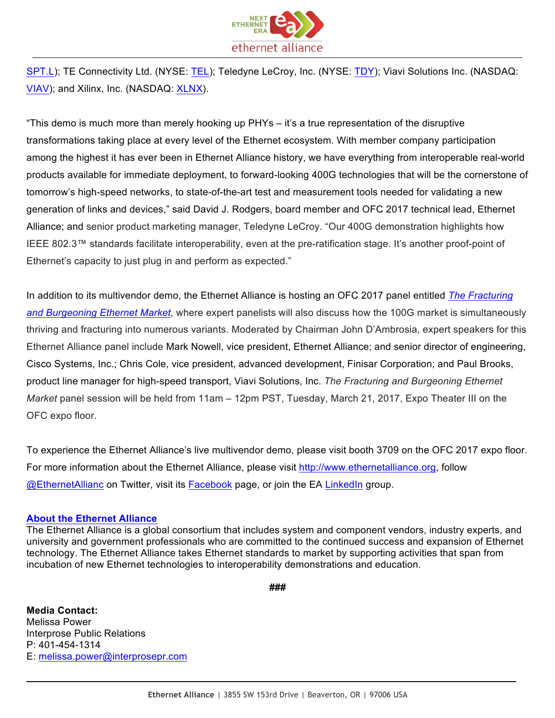

SPT.L); TE Connectivity Ltd. (NYSE: TEL); Teledyne LeCroy, Inc. (NYSE: TDY); Viavi Solutions Inc. (NASDAQ: VIAV); and Xilinx, Inc. (NASDAQ: XLNX).

"This demo is much more than merely hooking up PHYs – it's a true representation of the disruptive transformations taking place at every level of the Ethernet ecosystem. With member company participation among the highest it has ever been in Ethernet Alliance history, we have everything from interoperable real-world products available for immediate deployment, to forward-looking 400G technologies that will be the cornerstone of tomorrow's high-speed networks, to state-of-the-art test and measurement tools needed for validating a new generation of links and devices," said David J. Rodgers, board member and OFC 2017 technical lead, Ethernet Alliance; and senior product marketing manager, Teledyne LeCroy. "Our 400G demonstration highlights how IEEE 802.3™ standards facilitate interoperability, even at the pre-ratification stage. It's another proof-point of Ethernet's capacity to just plug in and perform as expected."

In addition to its multivendor demo, the Ethernet Alliance is hosting an OFC 2017 panel entitled *The Fracturing and Burgeoning Ethernet Market*, where expert panelists will also discuss how the 100G market is simultaneously thriving and fracturing into numerous variants. Moderated by Chairman John D'Ambrosia, expert speakers for this Ethernet Alliance panel include Mark Nowell, vice president, Ethernet Alliance; and senior director of engineering, Cisco Systems, Inc.; Chris Cole, vice president, advanced development, Finisar Corporation; and Paul Brooks, product line manager for high-speed transport, Viavi Solutions, Inc. *The Fracturing and Burgeoning Ethernet Market* panel session will be held from 11am – 12pm PST, Tuesday, March 21, 2017, Expo Theater III on the OFC expo floor.

To experience the Ethernet Alliance's live multivendor demo, please visit booth 3709 on the OFC 2017 expo floor. For more information about the Ethernet Alliance, please visit http://www.ethernetalliance.org, follow @EthernetAllianc on Twitter, visit its Facebook page, or join the EA LinkedIn group.

## **About the Ethernet Alliance**

The Ethernet Alliance is a global consortium that includes system and component vendors, industry experts, and university and government professionals who are committed to the continued success and expansion of Ethernet technology. The Ethernet Alliance takes Ethernet standards to market by supporting activities that span from incubation of new Ethernet technologies to interoperability demonstrations and education.

**###**

**Media Contact:** Melissa Power Interprose Public Relations P: 401-454-1314 E: melissa.power@interprosepr.com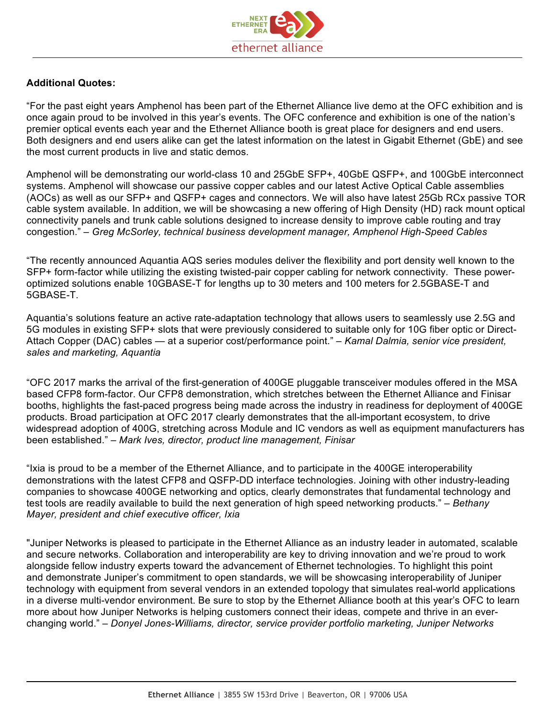

## **Additional Quotes:**

"For the past eight years Amphenol has been part of the Ethernet Alliance live demo at the OFC exhibition and is once again proud to be involved in this year's events. The OFC conference and exhibition is one of the nation's premier optical events each year and the Ethernet Alliance booth is great place for designers and end users. Both designers and end users alike can get the latest information on the latest in Gigabit Ethernet (GbE) and see the most current products in live and static demos.

Amphenol will be demonstrating our world-class 10 and 25GbE SFP+, 40GbE QSFP+, and 100GbE interconnect systems. Amphenol will showcase our passive copper cables and our latest Active Optical Cable assemblies (AOCs) as well as our SFP+ and QSFP+ cages and connectors. We will also have latest 25Gb RCx passive TOR cable system available. In addition, we will be showcasing a new offering of High Density (HD) rack mount optical connectivity panels and trunk cable solutions designed to increase density to improve cable routing and tray congestion." – *Greg McSorley, technical business development manager, Amphenol High-Speed Cables*

"The recently announced Aquantia AQS series modules deliver the flexibility and port density well known to the SFP+ form-factor while utilizing the existing twisted-pair copper cabling for network connectivity. These poweroptimized solutions enable 10GBASE-T for lengths up to 30 meters and 100 meters for 2.5GBASE-T and 5GBASE-T.

Aquantia's solutions feature an active rate-adaptation technology that allows users to seamlessly use 2.5G and 5G modules in existing SFP+ slots that were previously considered to suitable only for 10G fiber optic or Direct-Attach Copper (DAC) cables — at a superior cost/performance point." – *Kamal Dalmia, senior vice president, sales and marketing, Aquantia*

"OFC 2017 marks the arrival of the first-generation of 400GE pluggable transceiver modules offered in the MSA based CFP8 form-factor. Our CFP8 demonstration, which stretches between the Ethernet Alliance and Finisar booths, highlights the fast-paced progress being made across the industry in readiness for deployment of 400GE products. Broad participation at OFC 2017 clearly demonstrates that the all-important ecosystem, to drive widespread adoption of 400G, stretching across Module and IC vendors as well as equipment manufacturers has been established." – *Mark Ives, director, product line management, Finisar*

"Ixia is proud to be a member of the Ethernet Alliance, and to participate in the 400GE interoperability demonstrations with the latest CFP8 and QSFP-DD interface technologies. Joining with other industry-leading companies to showcase 400GE networking and optics, clearly demonstrates that fundamental technology and test tools are readily available to build the next generation of high speed networking products." – *Bethany Mayer, president and chief executive officer, Ixia*

"Juniper Networks is pleased to participate in the Ethernet Alliance as an industry leader in automated, scalable and secure networks. Collaboration and interoperability are key to driving innovation and we're proud to work alongside fellow industry experts toward the advancement of Ethernet technologies. To highlight this point and demonstrate Juniper's commitment to open standards, we will be showcasing interoperability of Juniper technology with equipment from several vendors in an extended topology that simulates real-world applications in a diverse multi-vendor environment. Be sure to stop by the Ethernet Alliance booth at this year's OFC to learn more about how Juniper Networks is helping customers connect their ideas, compete and thrive in an everchanging world." – *Donyel Jones-Williams, director, service provider portfolio marketing, Juniper Networks*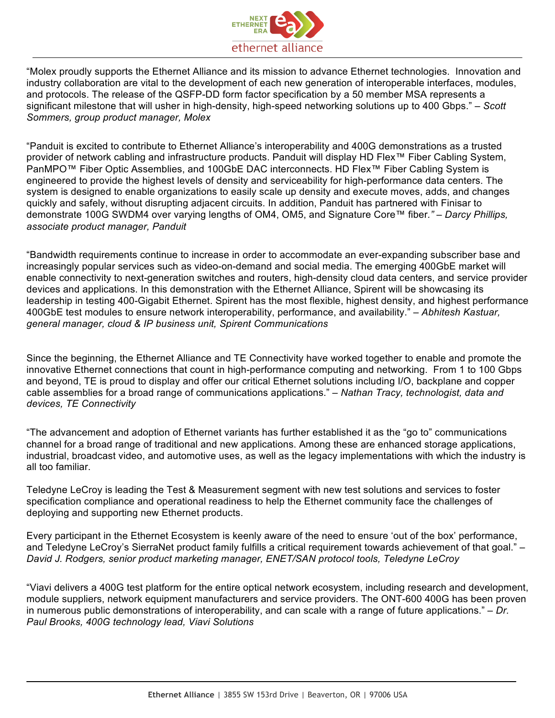

"Molex proudly supports the Ethernet Alliance and its mission to advance Ethernet technologies. Innovation and industry collaboration are vital to the development of each new generation of interoperable interfaces, modules, and protocols. The release of the QSFP-DD form factor specification by a 50 member MSA represents a significant milestone that will usher in high-density, high-speed networking solutions up to 400 Gbps." – *Scott Sommers, group product manager, Molex*

"Panduit is excited to contribute to Ethernet Alliance's interoperability and 400G demonstrations as a trusted provider of network cabling and infrastructure products. Panduit will display HD Flex™ Fiber Cabling System, PanMPO™ Fiber Optic Assemblies, and 100GbE DAC interconnects. HD Flex™ Fiber Cabling System is engineered to provide the highest levels of density and serviceability for high-performance data centers. The system is designed to enable organizations to easily scale up density and execute moves, adds, and changes quickly and safely, without disrupting adjacent circuits. In addition, Panduit has partnered with Finisar to demonstrate 100G SWDM4 over varying lengths of OM4, OM5, and Signature Core™ fiber*." – Darcy Phillips, associate product manager, Panduit*

"Bandwidth requirements continue to increase in order to accommodate an ever-expanding subscriber base and increasingly popular services such as video-on-demand and social media. The emerging 400GbE market will enable connectivity to next-generation switches and routers, high-density cloud data centers, and service provider devices and applications. In this demonstration with the Ethernet Alliance, Spirent will be showcasing its leadership in testing 400-Gigabit Ethernet. Spirent has the most flexible, highest density, and highest performance 400GbE test modules to ensure network interoperability, performance, and availability." – *Abhitesh Kastuar, general manager, cloud & IP business unit, Spirent Communications*

Since the beginning, the Ethernet Alliance and TE Connectivity have worked together to enable and promote the innovative Ethernet connections that count in high-performance computing and networking. From 1 to 100 Gbps and beyond, TE is proud to display and offer our critical Ethernet solutions including I/O, backplane and copper cable assemblies for a broad range of communications applications." *– Nathan Tracy, technologist, data and devices, TE Connectivity*

"The advancement and adoption of Ethernet variants has further established it as the "go to" communications channel for a broad range of traditional and new applications. Among these are enhanced storage applications, industrial, broadcast video, and automotive uses, as well as the legacy implementations with which the industry is all too familiar.

Teledyne LeCroy is leading the Test & Measurement segment with new test solutions and services to foster specification compliance and operational readiness to help the Ethernet community face the challenges of deploying and supporting new Ethernet products.

Every participant in the Ethernet Ecosystem is keenly aware of the need to ensure 'out of the box' performance, and Teledyne LeCroy's SierraNet product family fulfills a critical requirement towards achievement of that goal." – *David J. Rodgers, senior product marketing manager, ENET/SAN protocol tools, Teledyne LeCroy*

"Viavi delivers a 400G test platform for the entire optical network ecosystem, including research and development, module suppliers, network equipment manufacturers and service providers. The ONT-600 400G has been proven in numerous public demonstrations of interoperability, and can scale with a range of future applications." – *Dr. Paul Brooks, 400G technology lead, Viavi Solutions*